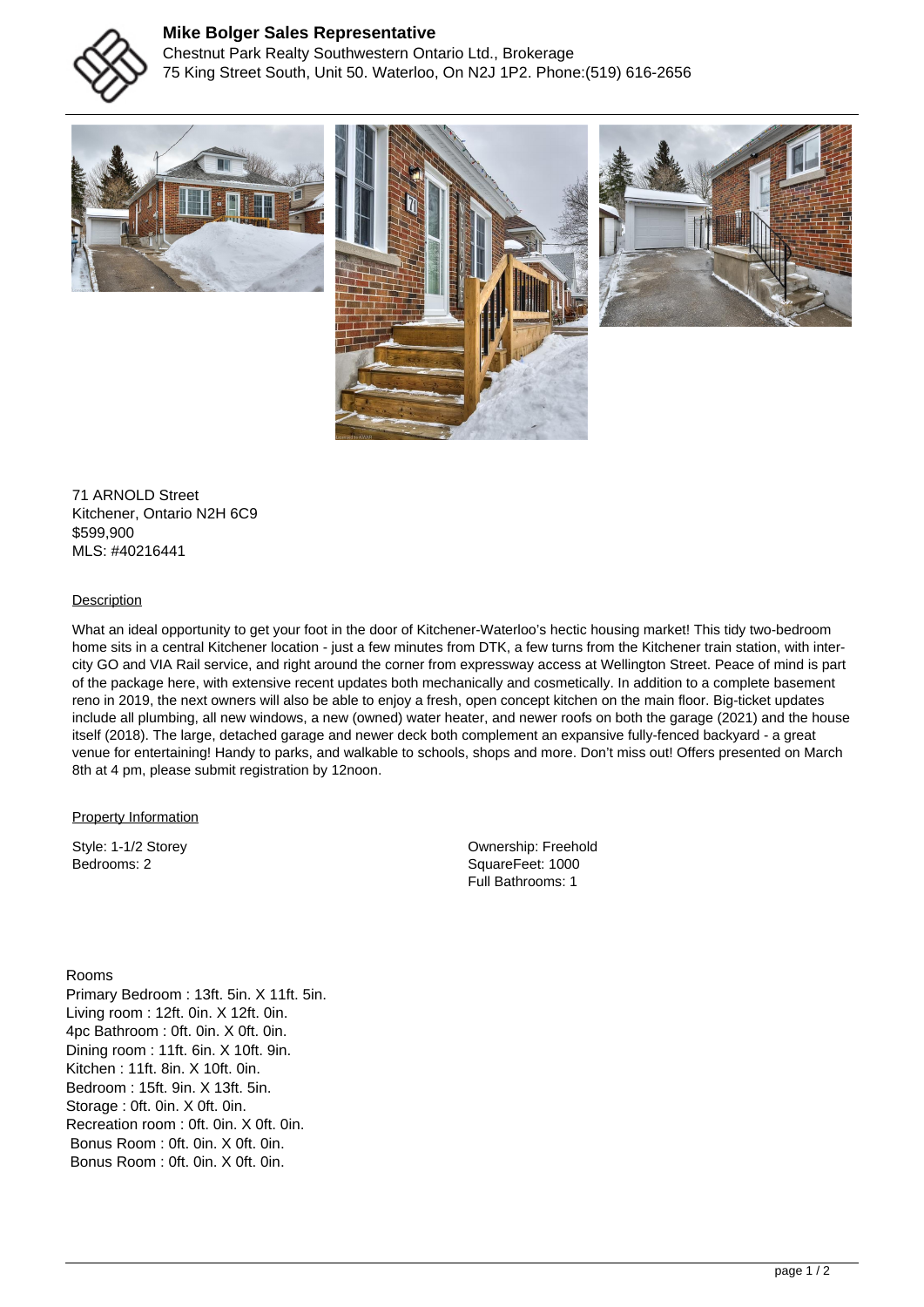

## **Mike Bolger Sales Representative**

Chestnut Park Realty Southwestern Ontario Ltd., Brokerage 75 King Street South, Unit 50. Waterloo, On N2J 1P2. Phone:(519) 616-2656



71 ARNOLD Street Kitchener, Ontario N2H 6C9 \$599,900 MLS: #40216441

## **Description**

What an ideal opportunity to get your foot in the door of Kitchener-Waterloo's hectic housing market! This tidy two-bedroom home sits in a central Kitchener location - just a few minutes from DTK, a few turns from the Kitchener train station, with intercity GO and VIA Rail service, and right around the corner from expressway access at Wellington Street. Peace of mind is part of the package here, with extensive recent updates both mechanically and cosmetically. In addition to a complete basement reno in 2019, the next owners will also be able to enjoy a fresh, open concept kitchen on the main floor. Big-ticket updates include all plumbing, all new windows, a new (owned) water heater, and newer roofs on both the garage (2021) and the house itself (2018). The large, detached garage and newer deck both complement an expansive fully-fenced backyard - a great venue for entertaining! Handy to parks, and walkable to schools, shops and more. Don't miss out! Offers presented on March 8th at 4 pm, please submit registration by 12noon.

**Property Information** 

Style: 1-1/2 Storey Bedrooms: 2

Ownership: Freehold SquareFeet: 1000 Full Bathrooms: 1

Rooms Primary Bedroom : 13ft. 5in. X 11ft. 5in. Living room : 12ft. 0in. X 12ft. 0in. 4pc Bathroom : 0ft. 0in. X 0ft. 0in. Dining room : 11ft. 6in. X 10ft. 9in. Kitchen : 11ft. 8in. X 10ft. 0in. Bedroom : 15ft. 9in. X 13ft. 5in. Storage : 0ft. 0in. X 0ft. 0in. Recreation room : 0ft. 0in. X 0ft. 0in. Bonus Room : 0ft. 0in. X 0ft. 0in. Bonus Room : 0ft. 0in. X 0ft. 0in.